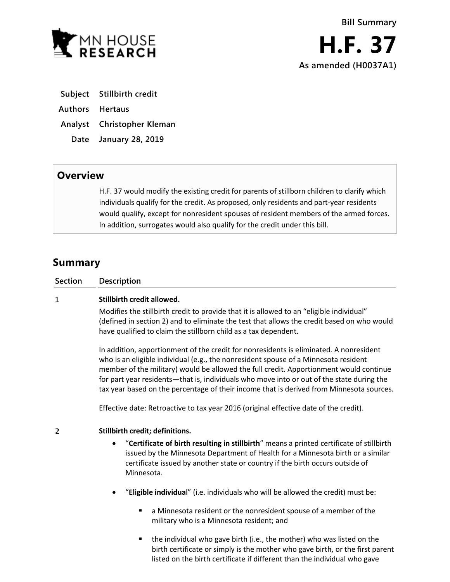

- **Subject Stillbirth credit**
- **Authors Hertaus**
- **Analyst Christopher Kleman**
- **Date January 28, 2019**

## **Overview**

H.F. 37 would modify the existing credit for parents of stillborn children to clarify which individuals qualify for the credit. As proposed, only residents and part-year residents would qualify, except for nonresident spouses of resident members of the armed forces. In addition, surrogates would also qualify for the credit under this bill.

# **Summary**

| Section | Description |  |
|---------|-------------|--|
|---------|-------------|--|

#### $\mathbf{1}$ **Stillbirth credit allowed.**

Modifies the stillbirth credit to provide that it is allowed to an "eligible individual" (defined in section 2) and to eliminate the test that allows the credit based on who would have qualified to claim the stillborn child as a tax dependent.

In addition, apportionment of the credit for nonresidents is eliminated. A nonresident who is an eligible individual (e.g., the nonresident spouse of a Minnesota resident member of the military) would be allowed the full credit. Apportionment would continue for part year residents—that is, individuals who move into or out of the state during the tax year based on the percentage of their income that is derived from Minnesota sources.

Effective date: Retroactive to tax year 2016 (original effective date of the credit).

#### $\overline{2}$ **Stillbirth credit; definitions.**

- "**Certificate of birth resulting in stillbirth**" means a printed certificate of stillbirth issued by the Minnesota Department of Health for a Minnesota birth or a similar certificate issued by another state or country if the birth occurs outside of Minnesota.
- "**Eligible individua**l" (i.e. individuals who will be allowed the credit) must be:
	- a Minnesota resident or the nonresident spouse of a member of the military who is a Minnesota resident; and
	- the individual who gave birth (i.e., the mother) who was listed on the birth certificate or simply is the mother who gave birth, or the first parent listed on the birth certificate if different than the individual who gave